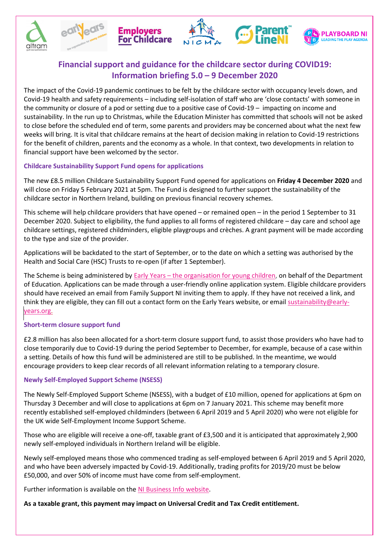







# **Financial support and guidance for the childcare sector during COVID19: Information briefing 5.0 – 9 December 2020**

The impact of the Covid-19 pandemic continues to be felt by the childcare sector with occupancy levels down, and Covid-19 health and safety requirements – including self-isolation of staff who are 'close contacts' with someone in the community or closure of a pod or setting due to a positive case of Covid-19 – impacting on income and sustainability. In the run up to Christmas, while the Education Minister has committed that schools will not be asked to close before the scheduled end of term, some parents and providers may be concerned about what the next few weeks will bring. It is vital that childcare remains at the heart of decision making in relation to Covid-19 restrictions for the benefit of children, parents and the economy as a whole. In that context, two developments in relation to financial support have been welcomed by the sector.

## **Childcare Sustainability Support Fund opens for applications**

The new £8.5 million Childcare Sustainability Support Fund opened for applications on **Friday 4 December 2020** and will close on Friday 5 February 2021 at 5pm. The Fund is designed to further support the sustainability of the childcare sector in Northern Ireland, building on previous financial recovery schemes.

This scheme will help childcare providers that have opened – or remained open – in the period 1 September to 31 December 2020. Subject to eligibility, the fund applies to all forms of registered childcare – day care and school age childcare settings, registered childminders, eligible playgroups and crèches. A grant payment will be made according to the type and size of the provider.

Applications will be backdated to the start of September, or to the date on which a setting was authorised by the Health and Social Care (HSC) Trusts to re-open (if after 1 September).

The Scheme is being administered by Early Years – [the organisation for young children,](https://www.early-years.org/childcare-support-fund) on behalf of the Department of Education. Applications can be made through a user-friendly online application system. Eligible childcare providers should have received an email from Family Support NI inviting them to apply. If they have not received a link, and think they are eligible, they can fill out a contact form on the Early Years website, or emai[l sustainability@early](mailto:sustainability@early-years.org)[years.org.](mailto:sustainability@early-years.org)

### **Short-term closure support fund**

£2.8 million has also been allocated for a short-term closure support fund, to assist those providers who have had to close temporarily due to Covid-19 during the period September to December, for example, because of a case within a setting. Details of how this fund will be administered are still to be published. In the meantime, we would encourage providers to keep clear records of all relevant information relating to a temporary closure.

### **Newly Self-Employed Support Scheme (NSESS)**

The Newly Self-Employed Support Scheme (NSESS), with a budget of £10 million, opened for applications at 6pm on Thursday 3 December and will close to applications at 6pm on 7 January 2021. This scheme may benefit more recently established self-employed childminders (between 6 April 2019 and 5 April 2020) who were not eligible for the UK wide Self-Employment Income Support Scheme.

Those who are eligible will receive a one-off, taxable grant of £3,500 and it is anticipated that approximately 2,900 newly self-employed individuals in Northern Ireland will be eligible.

Newly self-employed means those who commenced trading as self-employed between 6 April 2019 and 5 April 2020, and who have been adversely impacted by Covid-19. Additionally, trading profits for 2019/20 must be below £50,000, and over 50% of income must have come from self-employment.

Further information is available on the [NI Business Info website.](https://www.nibusinessinfo.co.uk/content/newly-self-employed-support-scheme)

**As a taxable grant, this payment may impact on Universal Credit and Tax Credit entitlement.**